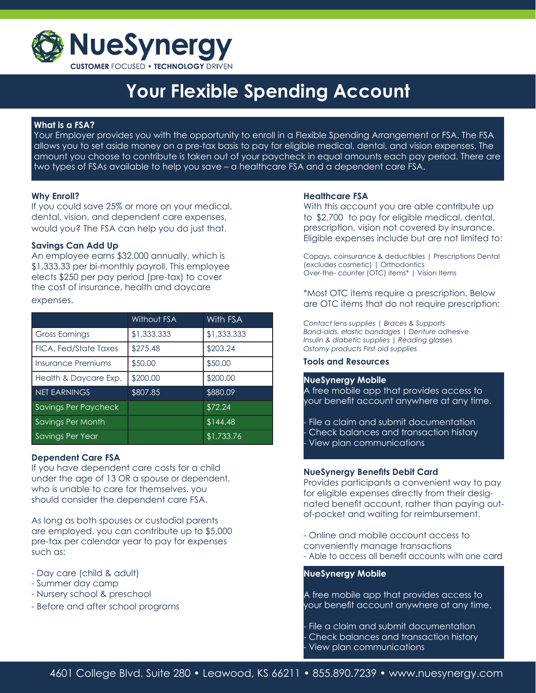

## **Your Flexible Spending Account**

## **What is a FSA?**

 Your Employer provides you with the opportunity to enroll in a Flexible Spending Arrangement or FSA. The FSA allows you to set aside money on a pre-tax basis to pay for eligible medical, dental, and vision expenses. The amount you choose to contribute is taken out of your paycheck in equal amounts each pay period. There are two types of FSAs available to help you save – a healthcare FSA and a dependent care FSA.

## **Why Enroll?**

If you could save 25% or more on your medical, dental, vision, and dependent care expenses, would you? The FSA can help you do just that.

## **Savings Can Add Up**

An employee earns \$32,000 annually, which is \$1,333.33 per bi-monthly payroll. This employee elects \$250 per pay period (pre-tax) to cover the cost of insurance, health and daycare expenses.

|                       | <b>Without FSA</b> | <b>With FSA</b> |
|-----------------------|--------------------|-----------------|
| <b>Gross Earnings</b> | \$1,333.333        | \$1,333.333     |
| FICA, Fed/State Taxes | \$275.48           | \$203.24        |
| Insurance Premiums    | \$50.00            | \$50.00         |
| Health & Daycare Exp. | \$200.00           | \$200.00        |
| <b>NET EARNINGS</b>   | \$807.85           | \$880.09        |
| Savings Per Paycheck  |                    | \$72.24         |
| Savings Per Month     |                    | \$144.48        |
| Savings Per Year      |                    | \$1,733.76      |

## **Dependent Care FSA**

If you have dependent care costs for a child under the age of 13 OR a spouse or dependent, who is unable to care for themselves, you should consider the dependent care FSA.

As long as both spouses or custodial parents are employed, you can contribute up to \$5,000 pre-tax per calendar year to pay for expenses such as:

- Day care (child & adult)
- Summer day camp
- Nursery school & preschool
- Before and after school programs

#### **Healthcare FSA**

With this account you are able contribute up to \$2,700 to pay for eligible medical, dental, prescription, vision not covered by insurance. Eligible expenses include but are not limited to:

Copays, coinsurance & deductibles | Prescriptions Dental (excludes cosmetic) | Orthodontics Over-the- counter (OTC) items\* | Vision Items

\*Most OTC items require a prescription. Below are OTC items that do not require prescription:

*Contact lens supplies | Braces & Supports Band-aids, elastic bandages | Denture adhesive Insulin & diabetic supplies | Reading glasses Ostomy products First aid supplies*

#### **Tools and Resources**

#### **NueSynergy Mobile**

A free mobile app that provides access to your benefit account anywhere at any time.

File a claim and submit documentation - Check balances and transaction history View plan communications

#### **NueSynergy Benefits Debit Card**

Provides participants a convenient way to pay for eligible expenses directly from their designated benefit account, rather than paying outof-pocket and waiting for reimbursement.

- Online and mobile account access to conveniently manage transactions

- Able to access all benefit accounts with one card

#### **NueSynergy Mobile**

A free mobile app that provides access to your benefit account anywhere at any time.

File a claim and submit documentation - Check balances and transaction history View plan communications